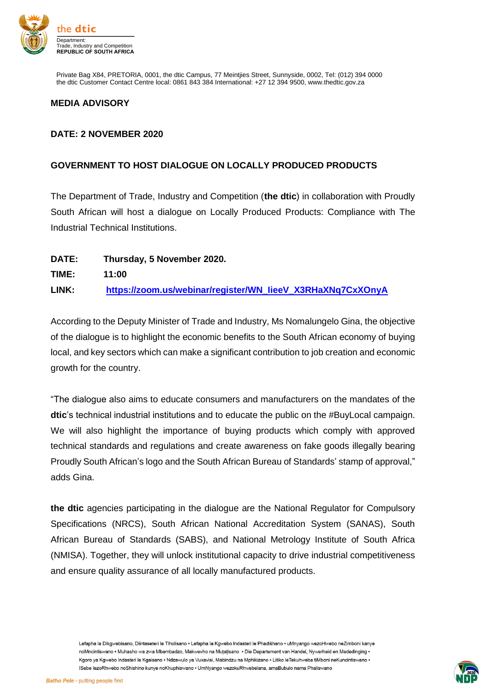

Private Bag X84, PRETORIA, 0001, the dtic Campus, 77 Meintjies Street, Sunnyside, 0002, Tel: (012) 394 0000 the dtic Customer Contact Centre local: 0861 843 384 International: +27 12 394 9500, www.thedtic.gov.za

## **MEDIA ADVISORY**

## **DATE: 2 NOVEMBER 2020**

## **GOVERNMENT TO HOST DIALOGUE ON LOCALLY PRODUCED PRODUCTS**

The Department of Trade, Industry and Competition (**the dtic**) in collaboration with Proudly South African will host a dialogue on Locally Produced Products: Compliance with The Industrial Technical Institutions.

| DATE: | Thursday, 5 November 2020.                                 |
|-------|------------------------------------------------------------|
| TIME: | 11:00                                                      |
| LINK: | https://zoom.us/webinar/register/WN_lieeV_X3RHaXNq7CxXOnyA |

According to the Deputy Minister of Trade and Industry, Ms Nomalungelo Gina, the objective of the dialogue is to highlight the economic benefits to the South African economy of buying local, and key sectors which can make a significant contribution to job creation and economic growth for the country.

"The dialogue also aims to educate consumers and manufacturers on the mandates of the **dtic**'s technical industrial institutions and to educate the public on the #BuyLocal campaign. We will also highlight the importance of buying products which comply with approved technical standards and regulations and create awareness on fake goods illegally bearing Proudly South African's logo and the South African Bureau of Standards' stamp of approval," adds Gina.

**the dtic** agencies participating in the dialogue are the National Regulator for Compulsory Specifications (NRCS), South African National Accreditation System (SANAS), South African Bureau of Standards (SABS), and National Metrology Institute of South Africa (NMISA). Together, they will unlock institutional capacity to drive industrial competitiveness and ensure quality assurance of all locally manufactured products.

Lefapha la Dikgwebisano, Diintaseteri le Tlholisano · Lefapha la Kgwebo Indasteri le Phadišhano · uMnyango wezoHwebo neZimboni kanye noMncintiswano • Muhasho wa zwa Mbambadzo. Makweyho na Mutatisano • Die Departement van Handel. Nywerheid en Mededinging • Kgoro ya Kgwebo Indasteri le Kgaisano . Ndzawulo ya Vuxavisi, Mabindzu na Mphikizano . Litiko leTekuhweba tiMboni neKuncintiswano . ISebe lezoRhwebo noShishino kunye noKhuphiswano · UmNyango wezokuRhwebelana, amaBubulo nama Phaliswano